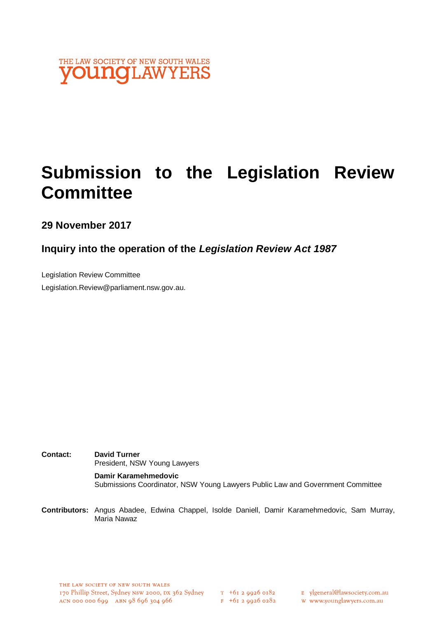

# **Submission to the Legislation Review Committee**

**29 November 2017**

## **Inquiry into the operation of the** *Legislation Review Act 1987*

Legislation Review Committee Legislation.Review@parliament.nsw.gov.au.

**Contact: David Turner** President, NSW Young Lawyers **Damir Karamehmedovic** Submissions Coordinator, NSW Young Lawyers Public Law and Government Committee

**Contributors:** Angus Abadee, Edwina Chappel, Isolde Daniell, Damir Karamehmedovic, Sam Murray, Maria Nawaz

THE LAW SOCIETY OF NEW SOUTH WALES 170 Phillip Street, Sydney NSW 2000, DX 362 Sydney T +61 2 9926 0182<br>ACN 000 000 699 ABN 98 696 304 966 F +61 2 9926 0282

E ylgeneral@lawsociety.com.au w www.younglawyers.com.au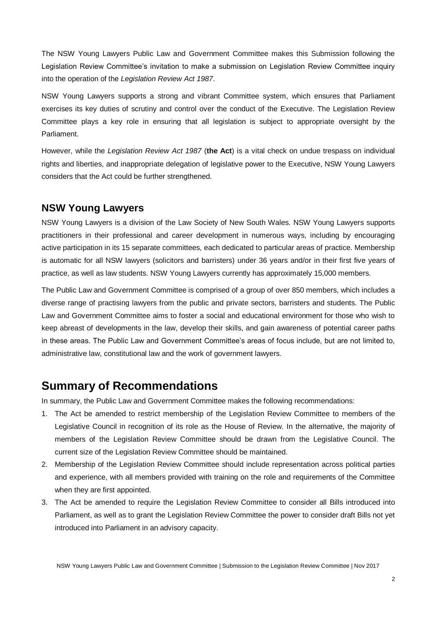The NSW Young Lawyers Public Law and Government Committee makes this Submission following the Legislation Review Committee's invitation to make a submission on Legislation Review Committee inquiry into the operation of the *Legislation Review Act 1987*.

NSW Young Lawyers supports a strong and vibrant Committee system, which ensures that Parliament exercises its key duties of scrutiny and control over the conduct of the Executive. The Legislation Review Committee plays a key role in ensuring that all legislation is subject to appropriate oversight by the Parliament.

However, while the *Legislation Review Act 1987* (**the Act**) is a vital check on undue trespass on individual rights and liberties, and inappropriate delegation of legislative power to the Executive, NSW Young Lawyers considers that the Act could be further strengthened.

### **NSW Young Lawyers**

NSW Young Lawyers is a division of the Law Society of New South Wales. NSW Young Lawyers supports practitioners in their professional and career development in numerous ways, including by encouraging active participation in its 15 separate committees, each dedicated to particular areas of practice. Membership is automatic for all NSW lawyers (solicitors and barristers) under 36 years and/or in their first five years of practice, as well as law students. NSW Young Lawyers currently has approximately 15,000 members.

The Public Law and Government Committee is comprised of a group of over 850 members, which includes a diverse range of practising lawyers from the public and private sectors, barristers and students. The Public Law and Government Committee aims to foster a social and educational environment for those who wish to keep abreast of developments in the law, develop their skills, and gain awareness of potential career paths in these areas. The Public Law and Government Committee's areas of focus include, but are not limited to, administrative law, constitutional law and the work of government lawyers.

## **Summary of Recommendations**

In summary, the Public Law and Government Committee makes the following recommendations:

- 1. The Act be amended to restrict membership of the Legislation Review Committee to members of the Legislative Council in recognition of its role as the House of Review. In the alternative, the majority of members of the Legislation Review Committee should be drawn from the Legislative Council. The current size of the Legislation Review Committee should be maintained.
- 2. Membership of the Legislation Review Committee should include representation across political parties and experience, with all members provided with training on the role and requirements of the Committee when they are first appointed.
- 3. The Act be amended to require the Legislation Review Committee to consider all Bills introduced into Parliament, as well as to grant the Legislation Review Committee the power to consider draft Bills not yet introduced into Parliament in an advisory capacity.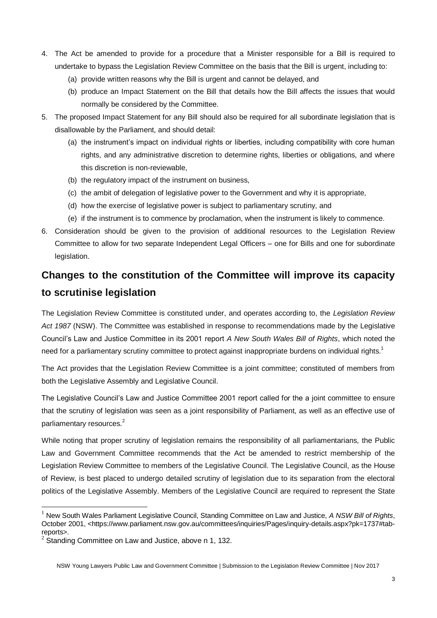- 4. The Act be amended to provide for a procedure that a Minister responsible for a Bill is required to undertake to bypass the Legislation Review Committee on the basis that the Bill is urgent, including to:
	- (a) provide written reasons why the Bill is urgent and cannot be delayed, and
	- (b) produce an Impact Statement on the Bill that details how the Bill affects the issues that would normally be considered by the Committee.
- 5. The proposed Impact Statement for any Bill should also be required for all subordinate legislation that is disallowable by the Parliament, and should detail:
	- (a) the instrument's impact on individual rights or liberties, including compatibility with core human rights, and any administrative discretion to determine rights, liberties or obligations, and where this discretion is non-reviewable,
	- (b) the regulatory impact of the instrument on business,
	- (c) the ambit of delegation of legislative power to the Government and why it is appropriate,
	- (d) how the exercise of legislative power is subject to parliamentary scrutiny, and
	- (e) if the instrument is to commence by proclamation, when the instrument is likely to commence.
- 6. Consideration should be given to the provision of additional resources to the Legislation Review Committee to allow for two separate Independent Legal Officers – one for Bills and one for subordinate legislation.

## **Changes to the constitution of the Committee will improve its capacity to scrutinise legislation**

The Legislation Review Committee is constituted under, and operates according to, the *Legislation Review Act 1987* (NSW). The Committee was established in response to recommendations made by the Legislative Council's Law and Justice Committee in its 2001 report *A New South Wales Bill of Rights*, which noted the need for a parliamentary scrutiny committee to protect against inappropriate burdens on individual rights.<sup>1</sup>

The Act provides that the Legislation Review Committee is a joint committee; constituted of members from both the Legislative Assembly and Legislative Council.

The Legislative Council's Law and Justice Committee 2001 report called for the a joint committee to ensure that the scrutiny of legislation was seen as a joint responsibility of Parliament, as well as an effective use of parliamentary resources.<sup>2</sup>

While noting that proper scrutiny of legislation remains the responsibility of all parliamentarians, the Public Law and Government Committee recommends that the Act be amended to restrict membership of the Legislation Review Committee to members of the Legislative Council. The Legislative Council, as the House of Review, is best placed to undergo detailed scrutiny of legislation due to its separation from the electoral politics of the Legislative Assembly. Members of the Legislative Council are required to represent the State

l

<sup>1</sup> New South Wales Parliament Legislative Council, Standing Committee on Law and Justice, *A NSW Bill of Rights*, October 2001, <https://www.parliament.nsw.gov.au/committees/inquiries/Pages/inquiry-details.aspx?pk=1737#tabreports>.

 $2$  Standing Committee on Law and Justice, above n 1, 132.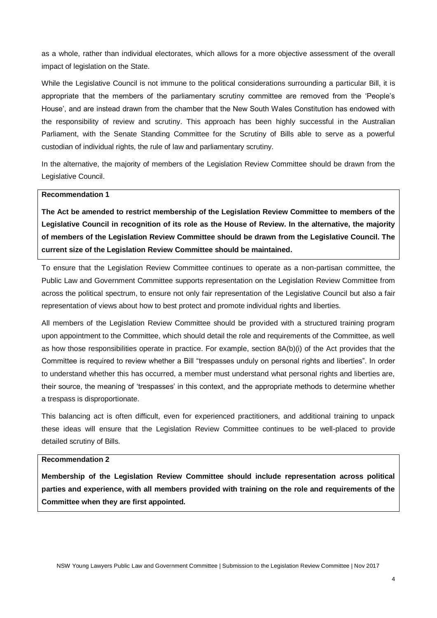as a whole, rather than individual electorates, which allows for a more objective assessment of the overall impact of legislation on the State.

While the Legislative Council is not immune to the political considerations surrounding a particular Bill, it is appropriate that the members of the parliamentary scrutiny committee are removed from the 'People's House', and are instead drawn from the chamber that the New South Wales Constitution has endowed with the responsibility of review and scrutiny. This approach has been highly successful in the Australian Parliament, with the Senate Standing Committee for the Scrutiny of Bills able to serve as a powerful custodian of individual rights, the rule of law and parliamentary scrutiny.

In the alternative, the majority of members of the Legislation Review Committee should be drawn from the Legislative Council.

#### **Recommendation 1**

**The Act be amended to restrict membership of the Legislation Review Committee to members of the Legislative Council in recognition of its role as the House of Review. In the alternative, the majority of members of the Legislation Review Committee should be drawn from the Legislative Council. The current size of the Legislation Review Committee should be maintained.**

To ensure that the Legislation Review Committee continues to operate as a non-partisan committee, the Public Law and Government Committee supports representation on the Legislation Review Committee from across the political spectrum, to ensure not only fair representation of the Legislative Council but also a fair representation of views about how to best protect and promote individual rights and liberties.

All members of the Legislation Review Committee should be provided with a structured training program upon appointment to the Committee, which should detail the role and requirements of the Committee, as well as how those responsibilities operate in practice. For example, section 8A(b)(i) of the Act provides that the Committee is required to review whether a Bill "trespasses unduly on personal rights and liberties". In order to understand whether this has occurred, a member must understand what personal rights and liberties are, their source, the meaning of 'trespasses' in this context, and the appropriate methods to determine whether a trespass is disproportionate.

This balancing act is often difficult, even for experienced practitioners, and additional training to unpack these ideas will ensure that the Legislation Review Committee continues to be well-placed to provide detailed scrutiny of Bills.

#### **Recommendation 2**

**Membership of the Legislation Review Committee should include representation across political parties and experience, with all members provided with training on the role and requirements of the Committee when they are first appointed.**

NSW Young Lawyers Public Law and Government Committee | Submission to the Legislation Review Committee | Nov 2017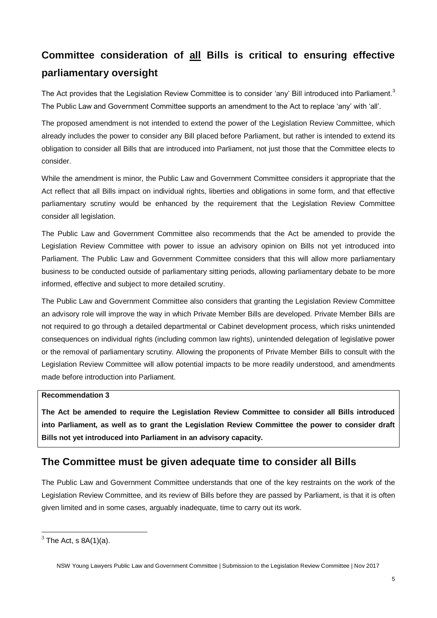## **Committee consideration of all Bills is critical to ensuring effective parliamentary oversight**

The Act provides that the Legislation Review Committee is to consider 'any' Bill introduced into Parliament.<sup>3</sup> The Public Law and Government Committee supports an amendment to the Act to replace 'any' with 'all'.

The proposed amendment is not intended to extend the power of the Legislation Review Committee, which already includes the power to consider any Bill placed before Parliament, but rather is intended to extend its obligation to consider all Bills that are introduced into Parliament, not just those that the Committee elects to consider.

While the amendment is minor, the Public Law and Government Committee considers it appropriate that the Act reflect that all Bills impact on individual rights, liberties and obligations in some form, and that effective parliamentary scrutiny would be enhanced by the requirement that the Legislation Review Committee consider all legislation.

The Public Law and Government Committee also recommends that the Act be amended to provide the Legislation Review Committee with power to issue an advisory opinion on Bills not yet introduced into Parliament. The Public Law and Government Committee considers that this will allow more parliamentary business to be conducted outside of parliamentary sitting periods, allowing parliamentary debate to be more informed, effective and subject to more detailed scrutiny.

The Public Law and Government Committee also considers that granting the Legislation Review Committee an advisory role will improve the way in which Private Member Bills are developed. Private Member Bills are not required to go through a detailed departmental or Cabinet development process, which risks unintended consequences on individual rights (including common law rights), unintended delegation of legislative power or the removal of parliamentary scrutiny. Allowing the proponents of Private Member Bills to consult with the Legislation Review Committee will allow potential impacts to be more readily understood, and amendments made before introduction into Parliament.

### **Recommendation 3**

**The Act be amended to require the Legislation Review Committee to consider all Bills introduced into Parliament, as well as to grant the Legislation Review Committee the power to consider draft Bills not yet introduced into Parliament in an advisory capacity.**

### **The Committee must be given adequate time to consider all Bills**

The Public Law and Government Committee understands that one of the key restraints on the work of the Legislation Review Committee, and its review of Bills before they are passed by Parliament, is that it is often given limited and in some cases, arguably inadequate, time to carry out its work.

 $\overline{\phantom{a}}$ 

 $3$  The Act, s 8A(1)(a).

NSW Young Lawyers Public Law and Government Committee | Submission to the Legislation Review Committee | Nov 2017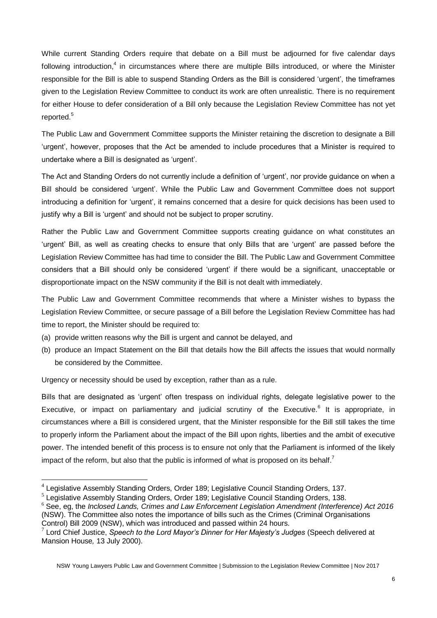While current Standing Orders require that debate on a Bill must be adjourned for five calendar days following introduction,<sup>4</sup> in circumstances where there are multiple Bills introduced, or where the Minister responsible for the Bill is able to suspend Standing Orders as the Bill is considered 'urgent', the timeframes given to the Legislation Review Committee to conduct its work are often unrealistic. There is no requirement for either House to defer consideration of a Bill only because the Legislation Review Committee has not yet reported.<sup>5</sup>

The Public Law and Government Committee supports the Minister retaining the discretion to designate a Bill 'urgent', however, proposes that the Act be amended to include procedures that a Minister is required to undertake where a Bill is designated as 'urgent'.

The Act and Standing Orders do not currently include a definition of 'urgent', nor provide guidance on when a Bill should be considered 'urgent'. While the Public Law and Government Committee does not support introducing a definition for 'urgent', it remains concerned that a desire for quick decisions has been used to justify why a Bill is 'urgent' and should not be subject to proper scrutiny.

Rather the Public Law and Government Committee supports creating guidance on what constitutes an 'urgent' Bill, as well as creating checks to ensure that only Bills that are 'urgent' are passed before the Legislation Review Committee has had time to consider the Bill. The Public Law and Government Committee considers that a Bill should only be considered 'urgent' if there would be a significant, unacceptable or disproportionate impact on the NSW community if the Bill is not dealt with immediately.

The Public Law and Government Committee recommends that where a Minister wishes to bypass the Legislation Review Committee, or secure passage of a Bill before the Legislation Review Committee has had time to report, the Minister should be required to:

- (a) provide written reasons why the Bill is urgent and cannot be delayed, and
- (b) produce an Impact Statement on the Bill that details how the Bill affects the issues that would normally be considered by the Committee.

Urgency or necessity should be used by exception, rather than as a rule.

 $\overline{a}$ 

Bills that are designated as 'urgent' often trespass on individual rights, delegate legislative power to the Executive, or impact on parliamentary and judicial scrutiny of the Executive.<sup>6</sup> It is appropriate, in circumstances where a Bill is considered urgent, that the Minister responsible for the Bill still takes the time to properly inform the Parliament about the impact of the Bill upon rights, liberties and the ambit of executive power. The intended benefit of this process is to ensure not only that the Parliament is informed of the likely impact of the reform, but also that the public is informed of what is proposed on its behalf.<sup>7</sup>

<sup>&</sup>lt;sup>4</sup> Legislative Assembly Standing Orders, Order 189; Legislative Council Standing Orders, 137.

<sup>&</sup>lt;sup>5</sup> Legislative Assembly Standing Orders, Order 189; Legislative Council Standing Orders, 138.

<sup>6</sup> See, eg, the *Inclosed Lands, Crimes and Law Enforcement Legislation Amendment (Interference) Act 2016* (NSW). The Committee also notes the importance of bills such as the Crimes (Criminal Organisations Control) Bill 2009 (NSW), which was introduced and passed within 24 hours.

<sup>7</sup> Lord Chief Justice, *Speech to the Lord Mayor's Dinner for Her Majesty's Judges* (Speech delivered at Mansion House*,* 13 July 2000).

NSW Young Lawyers Public Law and Government Committee | Submission to the Legislation Review Committee | Nov 2017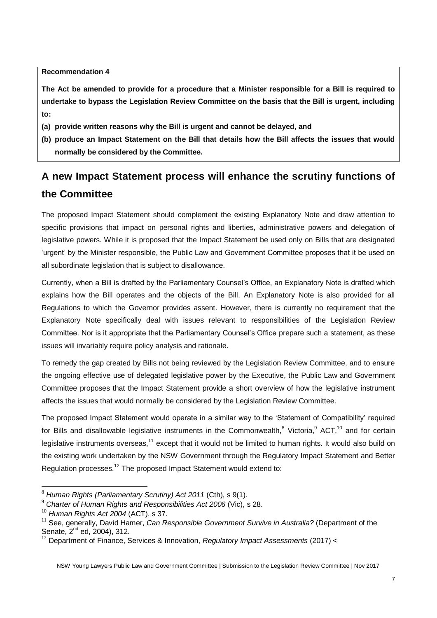**Recommendation 4** 

**The Act be amended to provide for a procedure that a Minister responsible for a Bill is required to undertake to bypass the Legislation Review Committee on the basis that the Bill is urgent, including to:**

- **(a) provide written reasons why the Bill is urgent and cannot be delayed, and**
- **(b) produce an Impact Statement on the Bill that details how the Bill affects the issues that would normally be considered by the Committee.**

## **A new Impact Statement process will enhance the scrutiny functions of the Committee**

The proposed Impact Statement should complement the existing Explanatory Note and draw attention to specific provisions that impact on personal rights and liberties, administrative powers and delegation of legislative powers. While it is proposed that the Impact Statement be used only on Bills that are designated 'urgent' by the Minister responsible, the Public Law and Government Committee proposes that it be used on all subordinate legislation that is subject to disallowance.

Currently, when a Bill is drafted by the Parliamentary Counsel's Office, an Explanatory Note is drafted which explains how the Bill operates and the objects of the Bill. An Explanatory Note is also provided for all Regulations to which the Governor provides assent. However, there is currently no requirement that the Explanatory Note specifically deal with issues relevant to responsibilities of the Legislation Review Committee. Nor is it appropriate that the Parliamentary Counsel's Office prepare such a statement, as these issues will invariably require policy analysis and rationale.

To remedy the gap created by Bills not being reviewed by the Legislation Review Committee, and to ensure the ongoing effective use of delegated legislative power by the Executive, the Public Law and Government Committee proposes that the Impact Statement provide a short overview of how the legislative instrument affects the issues that would normally be considered by the Legislation Review Committee.

The proposed Impact Statement would operate in a similar way to the 'Statement of Compatibility' required for Bills and disallowable legislative instruments in the Commonwealth, $8$  Victoria, $9$  ACT, $10$  and for certain legislative instruments overseas,<sup>11</sup> except that it would not be limited to human rights. It would also build on the existing work undertaken by the NSW Government through the Regulatory Impact Statement and Better Regulation processes.<sup>12</sup> The proposed Impact Statement would extend to:

 $\overline{a}$ 

<sup>8</sup> *Human Rights (Parliamentary Scrutiny) Act 2011* (Cth), s 9(1).

<sup>9</sup> *Charter of Human Rights and Responsibilities Act 2006* (Vic), s 28.

<sup>10</sup> *Human Rights Act 2004* (ACT), s 37.

<sup>&</sup>lt;sup>11</sup> See, generally, David Hamer, *Can Responsible Government Survive in Australia?* (Department of the Senate, 2<sup>nd</sup> ed, 2004), 312.

<sup>&</sup>lt;sup>12</sup> Department of Finance, Services & Innovation, *Regulatory Impact Assessments* (2017) <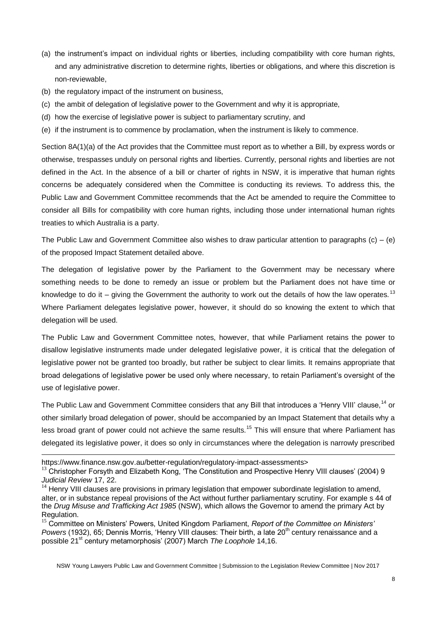- (a) the instrument's impact on individual rights or liberties, including compatibility with core human rights, and any administrative discretion to determine rights, liberties or obligations, and where this discretion is non-reviewable,
- (b) the regulatory impact of the instrument on business,
- (c) the ambit of delegation of legislative power to the Government and why it is appropriate,
- (d) how the exercise of legislative power is subject to parliamentary scrutiny, and
- (e) if the instrument is to commence by proclamation, when the instrument is likely to commence.

Section 8A(1)(a) of the Act provides that the Committee must report as to whether a Bill, by express words or otherwise, trespasses unduly on personal rights and liberties. Currently, personal rights and liberties are not defined in the Act. In the absence of a bill or charter of rights in NSW, it is imperative that human rights concerns be adequately considered when the Committee is conducting its reviews. To address this, the Public Law and Government Committee recommends that the Act be amended to require the Committee to consider all Bills for compatibility with core human rights, including those under international human rights treaties to which Australia is a party.

The Public Law and Government Committee also wishes to draw particular attention to paragraphs  $(c) - (e)$ of the proposed Impact Statement detailed above.

The delegation of legislative power by the Parliament to the Government may be necessary where something needs to be done to remedy an issue or problem but the Parliament does not have time or knowledge to do it – giving the Government the authority to work out the details of how the law operates.<sup>13</sup> Where Parliament delegates legislative power, however, it should do so knowing the extent to which that delegation will be used.

The Public Law and Government Committee notes, however, that while Parliament retains the power to disallow legislative instruments made under delegated legislative power, it is critical that the delegation of legislative power not be granted too broadly, but rather be subject to clear limits. It remains appropriate that broad delegations of legislative power be used only where necessary, to retain Parliament's oversight of the use of legislative power.

The Public Law and Government Committee considers that any Bill that introduces a 'Henry VIII' clause,<sup>14</sup> or other similarly broad delegation of power, should be accompanied by an Impact Statement that details why a less broad grant of power could not achieve the same results.<sup>15</sup> This will ensure that where Parliament has delegated its legislative power, it does so only in circumstances where the delegation is narrowly prescribed

l

NSW Young Lawyers Public Law and Government Committee | Submission to the Legislation Review Committee | Nov 2017

https://www.finance.nsw.gov.au/better-regulation/regulatory-impact-assessments>

 $13$  Christopher Forsyth and Elizabeth Kong, 'The Constitution and Prospective Henry VIII clauses' (2004) 9 *Judicial Review* 17, 22.

<sup>&</sup>lt;sup>14</sup> Henry VIII clauses are provisions in primary legislation that empower subordinate legislation to amend, alter, or in substance repeal provisions of the Act without further parliamentary scrutiny. For example s 44 of the *Drug Misuse and Trafficking Act 1985* (NSW), which allows the Governor to amend the primary Act by Regulation.

<sup>15</sup> Committee on Ministers' Powers, United Kingdom Parliament, *Report of the Committee on Ministers'*  Powers (1932), 65; Dennis Morris, 'Henry VIII clauses: Their birth, a late 20<sup>th</sup> century renaissance and a possible 21<sup>st</sup> century metamorphosis' (2007) March *The Loophole* 14,16.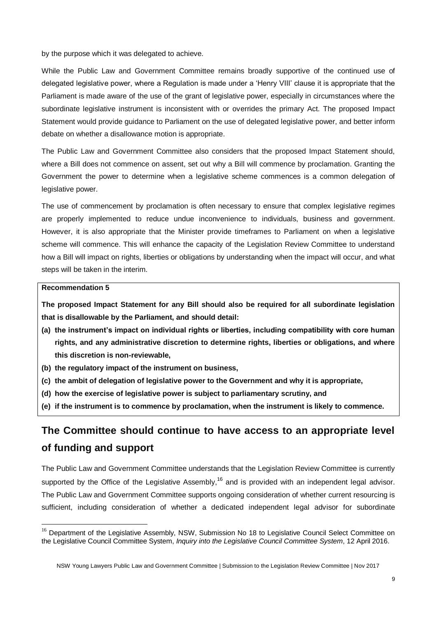by the purpose which it was delegated to achieve.

While the Public Law and Government Committee remains broadly supportive of the continued use of delegated legislative power, where a Regulation is made under a 'Henry VIII' clause it is appropriate that the Parliament is made aware of the use of the grant of legislative power, especially in circumstances where the subordinate legislative instrument is inconsistent with or overrides the primary Act. The proposed Impact Statement would provide guidance to Parliament on the use of delegated legislative power, and better inform debate on whether a disallowance motion is appropriate.

The Public Law and Government Committee also considers that the proposed Impact Statement should, where a Bill does not commence on assent, set out why a Bill will commence by proclamation. Granting the Government the power to determine when a legislative scheme commences is a common delegation of legislative power.

The use of commencement by proclamation is often necessary to ensure that complex legislative regimes are properly implemented to reduce undue inconvenience to individuals, business and government. However, it is also appropriate that the Minister provide timeframes to Parliament on when a legislative scheme will commence. This will enhance the capacity of the Legislation Review Committee to understand how a Bill will impact on rights, liberties or obligations by understanding when the impact will occur, and what steps will be taken in the interim.

#### **Recommendation 5**

l

**The proposed Impact Statement for any Bill should also be required for all subordinate legislation that is disallowable by the Parliament, and should detail:**

- **(a) the instrument's impact on individual rights or liberties, including compatibility with core human rights, and any administrative discretion to determine rights, liberties or obligations, and where this discretion is non-reviewable,**
- **(b) the regulatory impact of the instrument on business,**
- **(c) the ambit of delegation of legislative power to the Government and why it is appropriate,**
- **(d) how the exercise of legislative power is subject to parliamentary scrutiny, and**
- **(e) if the instrument is to commence by proclamation, when the instrument is likely to commence.**

## **The Committee should continue to have access to an appropriate level of funding and support**

The Public Law and Government Committee understands that the Legislation Review Committee is currently supported by the Office of the Legislative Assembly,<sup>16</sup> and is provided with an independent legal advisor. The Public Law and Government Committee supports ongoing consideration of whether current resourcing is sufficient, including consideration of whether a dedicated independent legal advisor for subordinate

<sup>&</sup>lt;sup>16</sup> Department of the Legislative Assembly, NSW, Submission No 18 to Legislative Council Select Committee on the Legislative Council Committee System, *Inquiry into the Legislative Council Committee System*, 12 April 2016.

NSW Young Lawyers Public Law and Government Committee | Submission to the Legislation Review Committee | Nov 2017